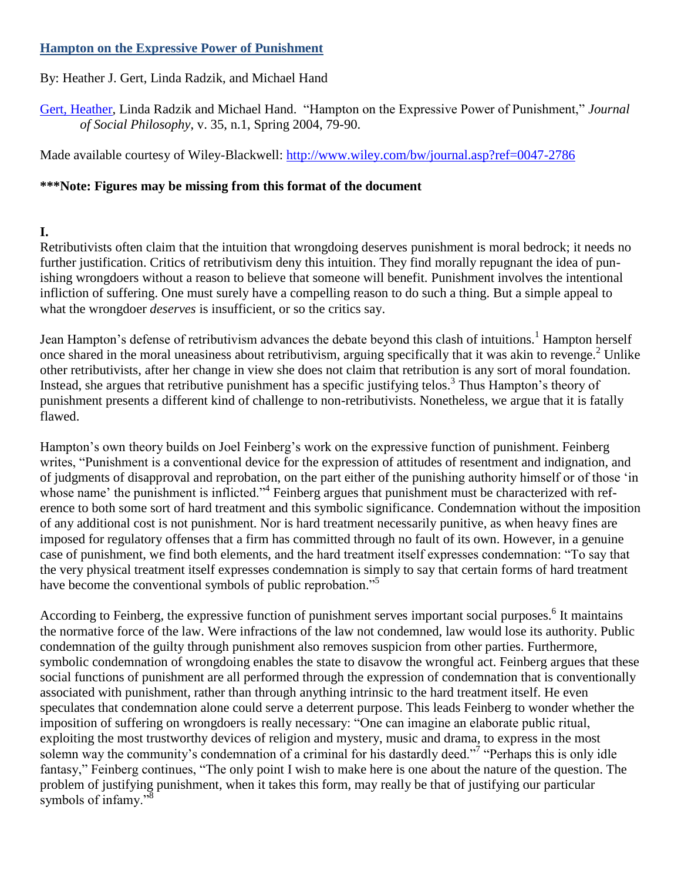### **Hampton on the Expressive Power of Punishment**

# By: Heather J. Gert, Linda Radzik, and Michael Hand

[Gert, Heather,](http://libres.uncg.edu/ir/uncg/clist.aspx?id=566) Linda Radzik and Michael Hand. "Hampton on the Expressive Power of Punishment," *Journal of Social Philosophy*, v. 35, n.1, Spring 2004, 79-90.

Made available courtesy of Wiley-Blackwell:<http://www.wiley.com/bw/journal.asp?ref=0047-2786>

## **\*\*\*Note: Figures may be missing from this format of the document**

## **I.**

Retributivists often claim that the intuition that wrongdoing deserves punishment is moral bedrock; it needs no further justification. Critics of retributivism deny this intuition. They find morally repugnant the idea of punishing wrongdoers without a reason to believe that someone will benefit. Punishment involves the intentional infliction of suffering. One must surely have a compelling reason to do such a thing. But a simple appeal to what the wrongdoer *deserves* is insufficient, or so the critics say.

Jean Hampton's defense of retributivism advances the debate beyond this clash of intuitions.<sup>1</sup> Hampton herself once shared in the moral uneasiness about retributivism, arguing specifically that it was akin to revenge.<sup>2</sup> Unlike other retributivists, after her change in view she does not claim that retribution is any sort of moral foundation. Instead, she argues that retributive punishment has a specific justifying telos.<sup>3</sup> Thus Hampton's theory of punishment presents a different kind of challenge to non-retributivists. Nonetheless, we argue that it is fatally flawed.

Hampton's own theory builds on Joel Feinberg's work on the expressive function of punishment. Feinberg writes, "Punishment is a conventional device for the expression of attitudes of resentment and indignation, and of judgments of disapproval and reprobation, on the part either of the punishing authority himself or of those ‗in whose name' the punishment is inflicted."<sup>4</sup> Feinberg argues that punishment must be characterized with reference to both some sort of hard treatment and this symbolic significance. Condemnation without the imposition of any additional cost is not punishment. Nor is hard treatment necessarily punitive, as when heavy fines are imposed for regulatory offenses that a firm has committed through no fault of its own. However, in a genuine case of punishment, we find both elements, and the hard treatment itself expresses condemnation: "To say that the very physical treatment itself expresses condemnation is simply to say that certain forms of hard treatment have become the conventional symbols of public reprobation."<sup>5</sup>

According to Feinberg, the expressive function of punishment serves important social purposes.<sup>6</sup> It maintains the normative force of the law. Were infractions of the law not condemned, law would lose its authority. Public condemnation of the guilty through punishment also removes suspicion from other parties. Furthermore, symbolic condemnation of wrongdoing enables the state to disavow the wrongful act. Feinberg argues that these social functions of punishment are all performed through the expression of condemnation that is conventionally associated with punishment, rather than through anything intrinsic to the hard treatment itself. He even speculates that condemnation alone could serve a deterrent purpose. This leads Feinberg to wonder whether the imposition of suffering on wrongdoers is really necessary: "One can imagine an elaborate public ritual, exploiting the most trustworthy devices of religion and mystery, music and drama, to express in the most solemn way the community's condemnation of a criminal for his dastardly deed."<sup>7</sup> "Perhaps this is only idle fantasy," Feinberg continues, "The only point I wish to make here is one about the nature of the question. The problem of justifying punishment, when it takes this form, may really be that of justifying our particular symbols of infamy. $\frac{5}{8}$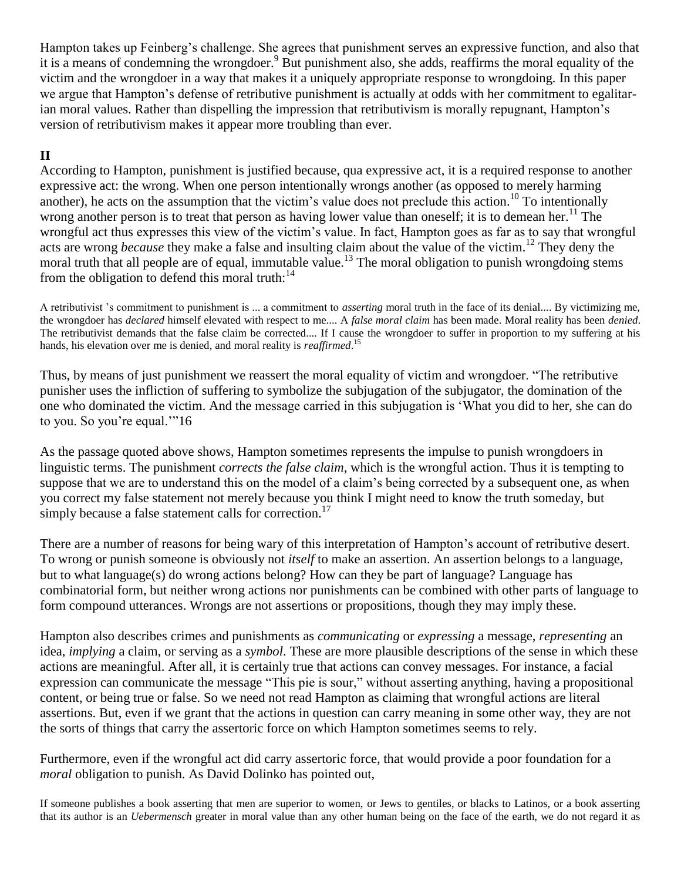Hampton takes up Feinberg's challenge. She agrees that punishment serves an expressive function, and also that it is a means of condemning the wrongdoer.<sup>9</sup> But punishment also, she adds, reaffirms the moral equality of the victim and the wrongdoer in a way that makes it a uniquely appropriate response to wrongdoing. In this paper we argue that Hampton's defense of retributive punishment is actually at odds with her commitment to egalitarian moral values. Rather than dispelling the impression that retributivism is morally repugnant, Hampton's version of retributivism makes it appear more troubling than ever.

## **II**

According to Hampton, punishment is justified because, qua expressive act, it is a required response to another expressive act: the wrong. When one person intentionally wrongs another (as opposed to merely harming another), he acts on the assumption that the victim's value does not preclude this action.<sup>10</sup> To intentionally wrong another person is to treat that person as having lower value than oneself; it is to demean her.<sup>11</sup> The wrongful act thus expresses this view of the victim's value. In fact, Hampton goes as far as to say that wrongful acts are wrong *because* they make a false and insulting claim about the value of the victim.<sup>12</sup> They deny the moral truth that all people are of equal, immutable value.<sup>13</sup> The moral obligation to punish wrongdoing stems from the obligation to defend this moral truth:<sup>14</sup>

A retributivist 's commitment to punishment is ... a commitment to *asserting* moral truth in the face of its denial.... By victimizing me, the wrongdoer has *declared* himself elevated with respect to me.... A *false moral claim* has been made. Moral reality has been *denied*. The retributivist demands that the false claim be corrected.... If I cause the wrongdoer to suffer in proportion to my suffering at his hands, his elevation over me is denied, and moral reality is *reaffirmed*. 15

Thus, by means of just punishment we reassert the moral equality of victim and wrongdoer. "The retributive punisher uses the infliction of suffering to symbolize the subjugation of the subjugator, the domination of the one who dominated the victim. And the message carried in this subjugation is ‗What you did to her, she can do to you. So you're equal.""16

As the passage quoted above shows, Hampton sometimes represents the impulse to punish wrongdoers in linguistic terms. The punishment *corrects the false claim,* which is the wrongful action. Thus it is tempting to suppose that we are to understand this on the model of a claim's being corrected by a subsequent one, as when you correct my false statement not merely because you think I might need to know the truth someday, but simply because a false statement calls for correction.<sup>17</sup>

There are a number of reasons for being wary of this interpretation of Hampton's account of retributive desert. To wrong or punish someone is obviously not *itself* to make an assertion. An assertion belongs to a language, but to what language(s) do wrong actions belong? How can they be part of language? Language has combinatorial form, but neither wrong actions nor punishments can be combined with other parts of language to form compound utterances. Wrongs are not assertions or propositions, though they may imply these.

Hampton also describes crimes and punishments as *communicating* or *expressing* a message, *representing* an idea, *implying* a claim, or serving as a *symbol*. These are more plausible descriptions of the sense in which these actions are meaningful. After all, it is certainly true that actions can convey messages. For instance, a facial expression can communicate the message "This pie is sour," without asserting anything, having a propositional content, or being true or false. So we need not read Hampton as claiming that wrongful actions are literal assertions. But, even if we grant that the actions in question can carry meaning in some other way, they are not the sorts of things that carry the assertoric force on which Hampton sometimes seems to rely.

Furthermore, even if the wrongful act did carry assertoric force, that would provide a poor foundation for a *moral* obligation to punish. As David Dolinko has pointed out,

If someone publishes a book asserting that men are superior to women, or Jews to gentiles, or blacks to Latinos, or a book asserting that its author is an *Uebermensch* greater in moral value than any other human being on the face of the earth, we do not regard it as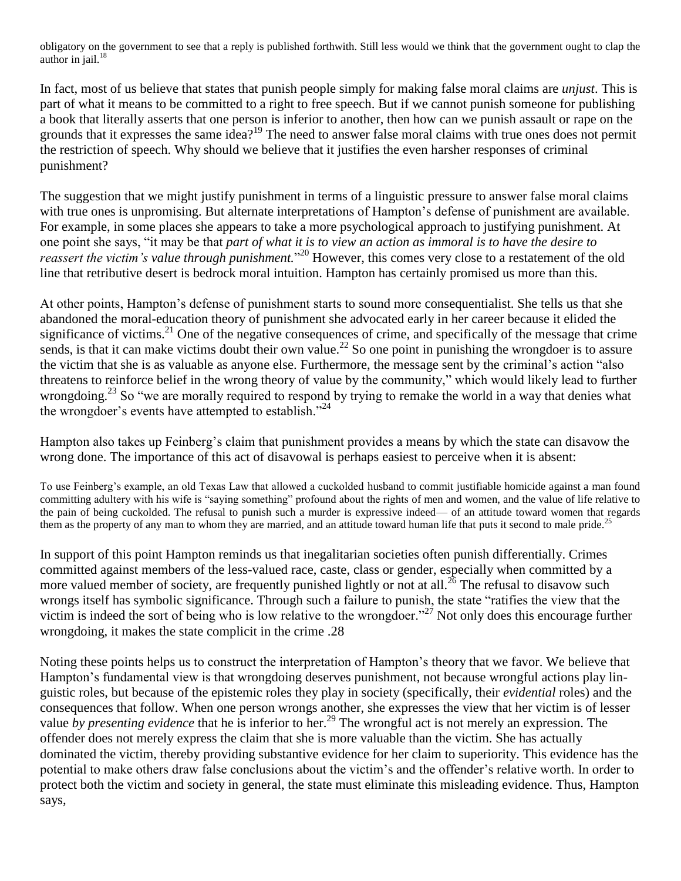obligatory on the government to see that a reply is published forthwith. Still less would we think that the government ought to clap the author in jail. $18$ 

In fact, most of us believe that states that punish people simply for making false moral claims are *unjust*. This is part of what it means to be committed to a right to free speech. But if we cannot punish someone for publishing a book that literally asserts that one person is inferior to another, then how can we punish assault or rape on the grounds that it expresses the same idea?<sup>19</sup> The need to answer false moral claims with true ones does not permit the restriction of speech. Why should we believe that it justifies the even harsher responses of criminal punishment?

The suggestion that we might justify punishment in terms of a linguistic pressure to answer false moral claims with true ones is unpromising. But alternate interpretations of Hampton's defense of punishment are available. For example, in some places she appears to take a more psychological approach to justifying punishment. At one point she says, "it may be that *part of what it is to view an action as immoral is to have the desire to* reassert the victim's value through punishment."<sup>20</sup> However, this comes very close to a restatement of the old line that retributive desert is bedrock moral intuition. Hampton has certainly promised us more than this.

At other points, Hampton's defense of punishment starts to sound more consequentialist. She tells us that she abandoned the moral-education theory of punishment she advocated early in her career because it elided the significance of victims.<sup>21</sup> One of the negative consequences of crime, and specifically of the message that crime sends, is that it can make victims doubt their own value.<sup>22</sup> So one point in punishing the wrongdoer is to assure the victim that she is as valuable as anyone else. Furthermore, the message sent by the criminal's action "also threatens to reinforce belief in the wrong theory of value by the community," which would likely lead to further wrongdoing.<sup>23</sup> So "we are morally required to respond by trying to remake the world in a way that denies what the wrongdoer's events have attempted to establish. $124$ 

Hampton also takes up Feinberg's claim that punishment provides a means by which the state can disavow the wrong done. The importance of this act of disavowal is perhaps easiest to perceive when it is absent:

To use Feinberg's example, an old Texas Law that allowed a cuckolded husband to commit justifiable homicide against a man found committing adultery with his wife is "saying something" profound about the rights of men and women, and the value of life relative to the pain of being cuckolded. The refusal to punish such a murder is expressive indeed— of an attitude toward women that regards them as the property of any man to whom they are married, and an attitude toward human life that puts it second to male pride.<sup>25</sup>

In support of this point Hampton reminds us that inegalitarian societies often punish differentially. Crimes committed against members of the less-valued race, caste, class or gender, especially when committed by a more valued member of society, are frequently punished lightly or not at all.<sup>26</sup> The refusal to disavow such wrongs itself has symbolic significance. Through such a failure to punish, the state "ratifies the view that the victim is indeed the sort of being who is low relative to the wrongdoer.<sup>27</sup> Not only does this encourage further wrongdoing, it makes the state complicit in the crime .28

Noting these points helps us to construct the interpretation of Hampton's theory that we favor. We believe that Hampton's fundamental view is that wrongdoing deserves punishment, not because wrongful actions play linguistic roles, but because of the epistemic roles they play in society (specifically, their *evidential* roles) and the consequences that follow. When one person wrongs another, she expresses the view that her victim is of lesser value *by presenting evidence* that he is inferior to her.<sup>29</sup> The wrongful act is not merely an expression. The offender does not merely express the claim that she is more valuable than the victim. She has actually dominated the victim, thereby providing substantive evidence for her claim to superiority. This evidence has the potential to make others draw false conclusions about the victim's and the offender's relative worth. In order to protect both the victim and society in general, the state must eliminate this misleading evidence. Thus, Hampton says,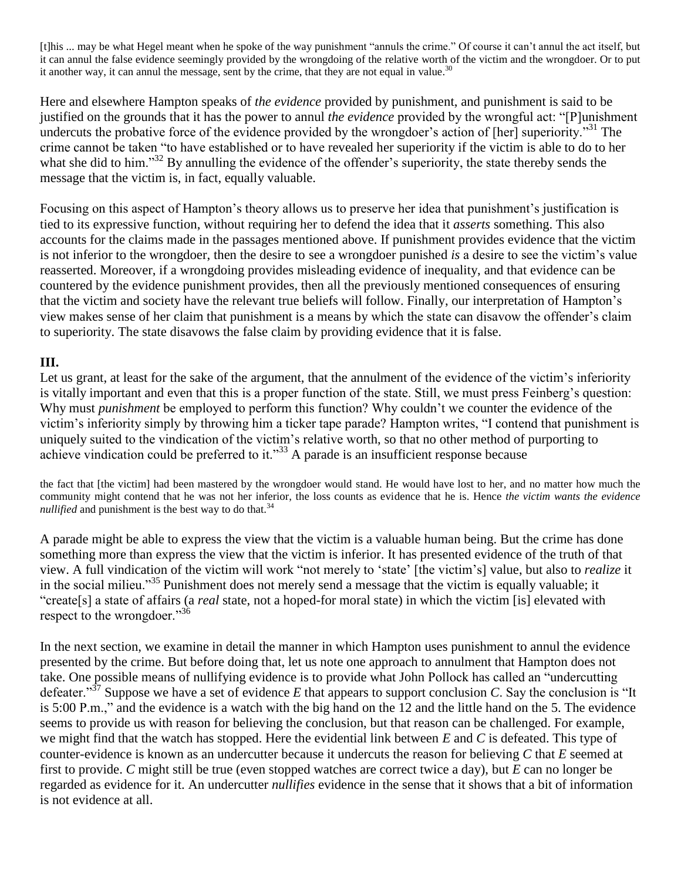[t]his ... may be what Hegel meant when he spoke of the way punishment "annuls the crime." Of course it can't annul the act itself, but it can annul the false evidence seemingly provided by the wrongdoing of the relative worth of the victim and the wrongdoer. Or to put it another way, it can annul the message, sent by the crime, that they are not equal in value. $30$ 

Here and elsewhere Hampton speaks of *the evidence* provided by punishment, and punishment is said to be justified on the grounds that it has the power to annul *the evidence* provided by the wrongful act: "[P]unishment undercuts the probative force of the evidence provided by the wrongdoer's action of [her] superiority.<sup>331</sup> The crime cannot be taken "to have established or to have revealed her superiority if the victim is able to do to her what she did to him."<sup>32</sup> By annulling the evidence of the offender's superiority, the state thereby sends the message that the victim is, in fact, equally valuable.

Focusing on this aspect of Hampton's theory allows us to preserve her idea that punishment's justification is tied to its expressive function, without requiring her to defend the idea that it *asserts* something. This also accounts for the claims made in the passages mentioned above. If punishment provides evidence that the victim is not inferior to the wrongdoer, then the desire to see a wrongdoer punished *is* a desire to see the victim's value reasserted. Moreover, if a wrongdoing provides misleading evidence of inequality, and that evidence can be countered by the evidence punishment provides, then all the previously mentioned consequences of ensuring that the victim and society have the relevant true beliefs will follow. Finally, our interpretation of Hampton's view makes sense of her claim that punishment is a means by which the state can disavow the offender's claim to superiority. The state disavows the false claim by providing evidence that it is false.

### **III.**

Let us grant, at least for the sake of the argument, that the annulment of the evidence of the victim's inferiority is vitally important and even that this is a proper function of the state. Still, we must press Feinberg's question: Why must *punishment* be employed to perform this function? Why couldn't we counter the evidence of the victim's inferiority simply by throwing him a ticker tape parade? Hampton writes, "I contend that punishment is uniquely suited to the vindication of the victim's relative worth, so that no other method of purporting to achieve vindication could be preferred to it.<sup>33</sup> A parade is an insufficient response because

the fact that [the victim] had been mastered by the wrongdoer would stand. He would have lost to her, and no matter how much the community might contend that he was not her inferior, the loss counts as evidence that he is. Hence *the victim wants the evidence nullified* and punishment is the best way to do that.<sup>34</sup>

A parade might be able to express the view that the victim is a valuable human being. But the crime has done something more than express the view that the victim is inferior. It has presented evidence of the truth of that view. A full vindication of the victim will work "not merely to 'state' [the victim's] value, but also to *realize* it in the social milieu.<sup>35</sup> Punishment does not merely send a message that the victim is equally valuable; it ―create[s] a state of affairs (a *real* state, not a hoped-for moral state) in which the victim [is] elevated with respect to the wrongdoer."<sup>36</sup>

In the next section, we examine in detail the manner in which Hampton uses punishment to annul the evidence presented by the crime. But before doing that, let us note one approach to annulment that Hampton does not take. One possible means of nullifying evidence is to provide what John Pollock has called an "undercutting" defeater.<sup>37</sup> Suppose we have a set of evidence *E* that appears to support conclusion *C*. Say the conclusion is "It is 5:00 P.m.," and the evidence is a watch with the big hand on the 12 and the little hand on the 5. The evidence seems to provide us with reason for believing the conclusion, but that reason can be challenged. For example, we might find that the watch has stopped. Here the evidential link between *E* and *C* is defeated. This type of counter-evidence is known as an undercutter because it undercuts the reason for believing *C* that *E* seemed at first to provide. *C* might still be true (even stopped watches are correct twice a day), but *E* can no longer be regarded as evidence for it. An undercutter *nullifies* evidence in the sense that it shows that a bit of information is not evidence at all.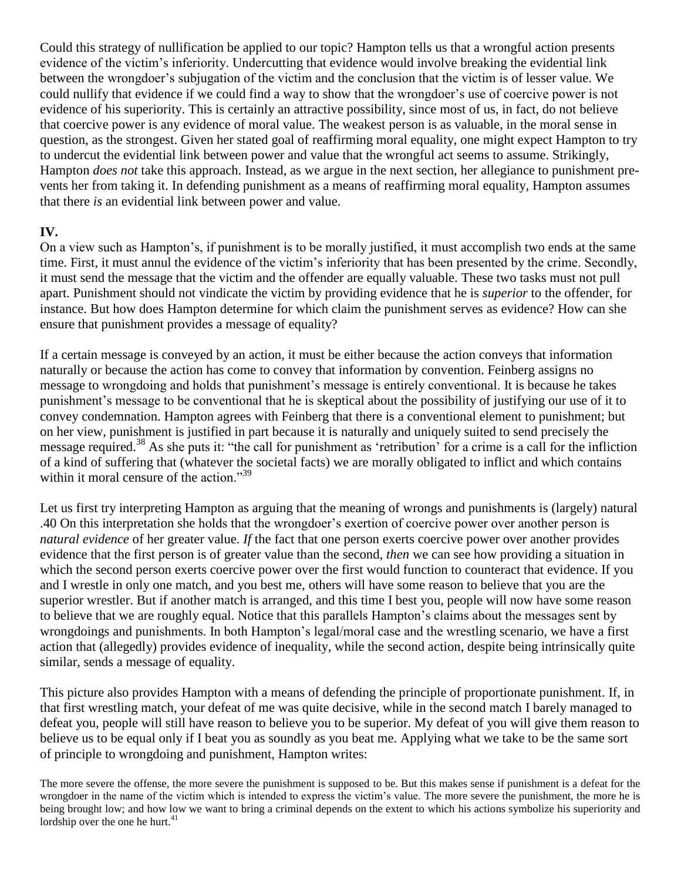Could this strategy of nullification be applied to our topic? Hampton tells us that a wrongful action presents evidence of the victim's inferiority. Undercutting that evidence would involve breaking the evidential link between the wrongdoer's subjugation of the victim and the conclusion that the victim is of lesser value. We could nullify that evidence if we could find a way to show that the wrongdoer's use of coercive power is not evidence of his superiority. This is certainly an attractive possibility, since most of us, in fact, do not believe that coercive power is any evidence of moral value. The weakest person is as valuable, in the moral sense in question, as the strongest. Given her stated goal of reaffirming moral equality, one might expect Hampton to try to undercut the evidential link between power and value that the wrongful act seems to assume. Strikingly, Hampton *does not* take this approach. Instead, as we argue in the next section, her allegiance to punishment prevents her from taking it. In defending punishment as a means of reaffirming moral equality, Hampton assumes that there *is* an evidential link between power and value.

### **IV.**

On a view such as Hampton's, if punishment is to be morally justified, it must accomplish two ends at the same time. First, it must annul the evidence of the victim's inferiority that has been presented by the crime. Secondly, it must send the message that the victim and the offender are equally valuable. These two tasks must not pull apart. Punishment should not vindicate the victim by providing evidence that he is *superior* to the offender, for instance. But how does Hampton determine for which claim the punishment serves as evidence? How can she ensure that punishment provides a message of equality?

If a certain message is conveyed by an action, it must be either because the action conveys that information naturally or because the action has come to convey that information by convention. Feinberg assigns no message to wrongdoing and holds that punishment's message is entirely conventional. It is because he takes punishment's message to be conventional that he is skeptical about the possibility of justifying our use of it to convey condemnation. Hampton agrees with Feinberg that there is a conventional element to punishment; but on her view, punishment is justified in part because it is naturally and uniquely suited to send precisely the message required.<sup>38</sup> As she puts it: "the call for punishment as 'retribution' for a crime is a call for the infliction of a kind of suffering that (whatever the societal facts) we are morally obligated to inflict and which contains within it moral censure of the action." $39$ 

Let us first try interpreting Hampton as arguing that the meaning of wrongs and punishments is (largely) natural .40 On this interpretation she holds that the wrongdoer's exertion of coercive power over another person is *natural evidence* of her greater value. *If* the fact that one person exerts coercive power over another provides evidence that the first person is of greater value than the second, *then* we can see how providing a situation in which the second person exerts coercive power over the first would function to counteract that evidence. If you and I wrestle in only one match, and you best me, others will have some reason to believe that you are the superior wrestler. But if another match is arranged, and this time I best you, people will now have some reason to believe that we are roughly equal. Notice that this parallels Hampton's claims about the messages sent by wrongdoings and punishments. In both Hampton's legal/moral case and the wrestling scenario, we have a first action that (allegedly) provides evidence of inequality, while the second action, despite being intrinsically quite similar, sends a message of equality.

This picture also provides Hampton with a means of defending the principle of proportionate punishment. If, in that first wrestling match, your defeat of me was quite decisive, while in the second match I barely managed to defeat you, people will still have reason to believe you to be superior. My defeat of you will give them reason to believe us to be equal only if I beat you as soundly as you beat me. Applying what we take to be the same sort of principle to wrongdoing and punishment, Hampton writes:

The more severe the offense, the more severe the punishment is supposed to be. But this makes sense if punishment is a defeat for the wrongdoer in the name of the victim which is intended to express the victim's value. The more severe the punishment, the more he is being brought low; and how low we want to bring a criminal depends on the extent to which his actions symbolize his superiority and lordship over the one he hurt.<sup>41</sup>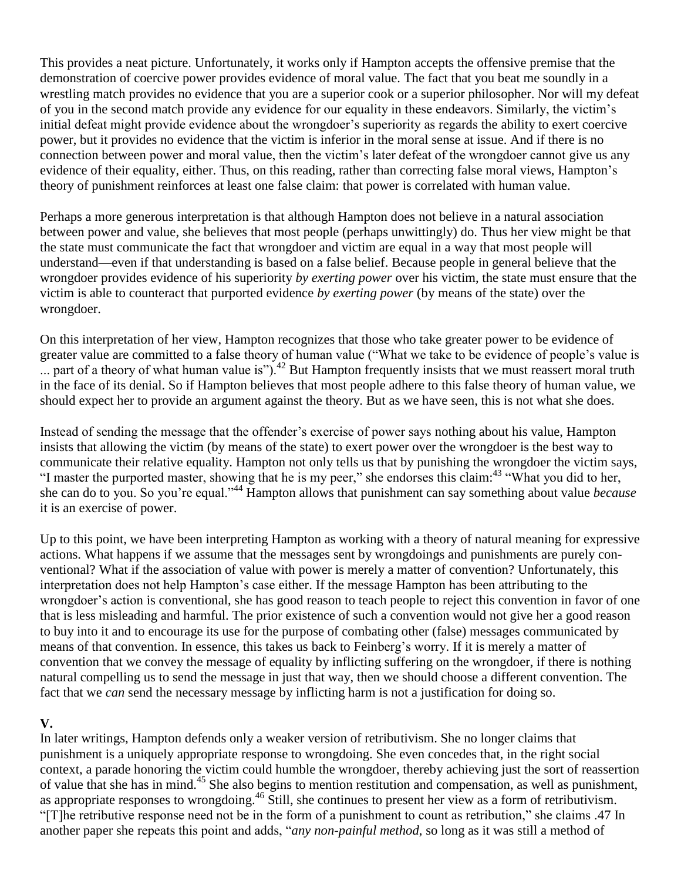This provides a neat picture. Unfortunately, it works only if Hampton accepts the offensive premise that the demonstration of coercive power provides evidence of moral value. The fact that you beat me soundly in a wrestling match provides no evidence that you are a superior cook or a superior philosopher. Nor will my defeat of you in the second match provide any evidence for our equality in these endeavors. Similarly, the victim's initial defeat might provide evidence about the wrongdoer's superiority as regards the ability to exert coercive power, but it provides no evidence that the victim is inferior in the moral sense at issue. And if there is no connection between power and moral value, then the victim's later defeat of the wrongdoer cannot give us any evidence of their equality, either. Thus, on this reading, rather than correcting false moral views, Hampton's theory of punishment reinforces at least one false claim: that power is correlated with human value.

Perhaps a more generous interpretation is that although Hampton does not believe in a natural association between power and value, she believes that most people (perhaps unwittingly) do. Thus her view might be that the state must communicate the fact that wrongdoer and victim are equal in a way that most people will understand—even if that understanding is based on a false belief. Because people in general believe that the wrongdoer provides evidence of his superiority *by exerting power* over his victim, the state must ensure that the victim is able to counteract that purported evidence *by exerting power* (by means of the state) over the wrongdoer.

On this interpretation of her view, Hampton recognizes that those who take greater power to be evidence of greater value are committed to a false theory of human value ("What we take to be evidence of people's value is  $\sim$  part of a theory of what human value is").<sup>42</sup> But Hampton frequently insists that we must reassert moral truth in the face of its denial. So if Hampton believes that most people adhere to this false theory of human value, we should expect her to provide an argument against the theory. But as we have seen, this is not what she does.

Instead of sending the message that the offender's exercise of power says nothing about his value, Hampton insists that allowing the victim (by means of the state) to exert power over the wrongdoer is the best way to communicate their relative equality. Hampton not only tells us that by punishing the wrongdoer the victim says, "I master the purported master, showing that he is my peer," she endorses this claim:<sup>43</sup> "What you did to her," she can do to you. So you're equal."<sup>44</sup> Hampton allows that punishment can say something about value *because* it is an exercise of power.

Up to this point, we have been interpreting Hampton as working with a theory of natural meaning for expressive actions. What happens if we assume that the messages sent by wrongdoings and punishments are purely conventional? What if the association of value with power is merely a matter of convention? Unfortunately, this interpretation does not help Hampton's case either. If the message Hampton has been attributing to the wrongdoer's action is conventional, she has good reason to teach people to reject this convention in favor of one that is less misleading and harmful. The prior existence of such a convention would not give her a good reason to buy into it and to encourage its use for the purpose of combating other (false) messages communicated by means of that convention. In essence, this takes us back to Feinberg's worry. If it is merely a matter of convention that we convey the message of equality by inflicting suffering on the wrongdoer, if there is nothing natural compelling us to send the message in just that way, then we should choose a different convention. The fact that we *can* send the necessary message by inflicting harm is not a justification for doing so.

### **V.**

In later writings, Hampton defends only a weaker version of retributivism. She no longer claims that punishment is a uniquely appropriate response to wrongdoing. She even concedes that, in the right social context, a parade honoring the victim could humble the wrongdoer, thereby achieving just the sort of reassertion of value that she has in mind.<sup>45</sup> She also begins to mention restitution and compensation, as well as punishment, as appropriate responses to wrongdoing.<sup>46</sup> Still, she continues to present her view as a form of retributivism. ―[T]he retributive response need not be in the form of a punishment to count as retribution,‖ she claims .47 In another paper she repeats this point and adds, "*any non-painful method*, so long as it was still a method of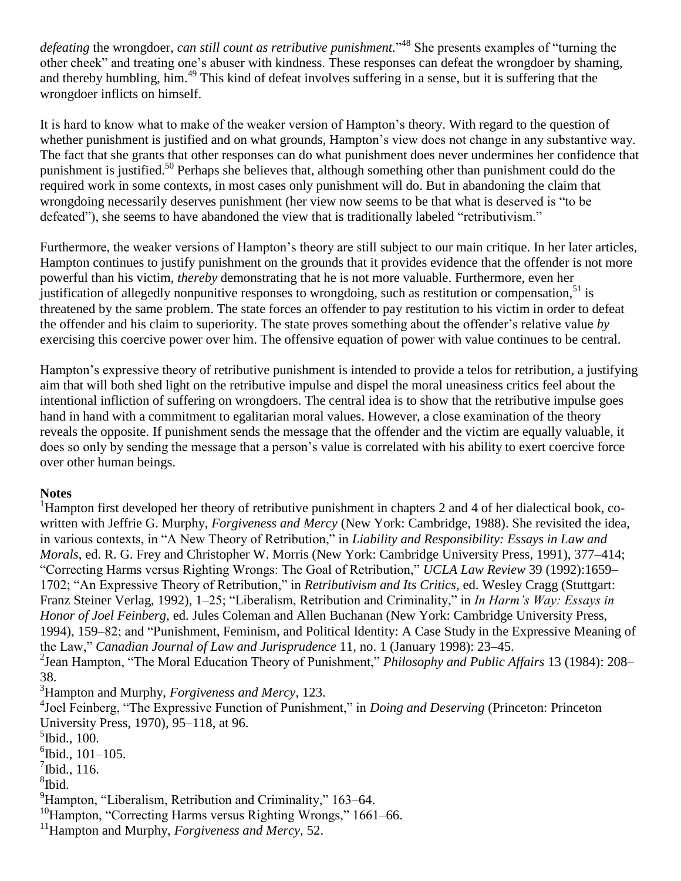*defeating* the wrongdoer, *can still count as retributive punishment*."<sup>48</sup> She presents examples of "turning the other cheek" and treating one's abuser with kindness. These responses can defeat the wrongdoer by shaming, and thereby humbling, him.<sup>49</sup> This kind of defeat involves suffering in a sense, but it is suffering that the wrongdoer inflicts on himself.

It is hard to know what to make of the weaker version of Hampton's theory. With regard to the question of whether punishment is justified and on what grounds, Hampton's view does not change in any substantive way. The fact that she grants that other responses can do what punishment does never undermines her confidence that punishment is justified.<sup>50</sup> Perhaps she believes that, although something other than punishment could do the required work in some contexts, in most cases only punishment will do. But in abandoning the claim that wrongdoing necessarily deserves punishment (her view now seems to be that what is deserved is "to be defeated"), she seems to have abandoned the view that is traditionally labeled "retributivism."

Furthermore, the weaker versions of Hampton's theory are still subject to our main critique. In her later articles, Hampton continues to justify punishment on the grounds that it provides evidence that the offender is not more powerful than his victim, *thereby* demonstrating that he is not more valuable. Furthermore, even her justification of allegedly nonpunitive responses to wrongdoing, such as restitution or compensation,  $51$  is threatened by the same problem. The state forces an offender to pay restitution to his victim in order to defeat the offender and his claim to superiority. The state proves something about the offender's relative value *by* exercising this coercive power over him. The offensive equation of power with value continues to be central.

Hampton's expressive theory of retributive punishment is intended to provide a telos for retribution, a justifying aim that will both shed light on the retributive impulse and dispel the moral uneasiness critics feel about the intentional infliction of suffering on wrongdoers. The central idea is to show that the retributive impulse goes hand in hand with a commitment to egalitarian moral values. However, a close examination of the theory reveals the opposite. If punishment sends the message that the offender and the victim are equally valuable, it does so only by sending the message that a person's value is correlated with his ability to exert coercive force over other human beings.

### **Notes**

<sup>1</sup>Hampton first developed her theory of retributive punishment in chapters 2 and 4 of her dialectical book, cowritten with Jeffrie G. Murphy, *Forgiveness and Mercy* (New York: Cambridge, 1988). She revisited the idea, in various contexts, in "A New Theory of Retribution," in *Liability and Responsibility: Essays in Law and Morals*, ed. R. G. Frey and Christopher W. Morris (New York: Cambridge University Press, 1991), 377–414; ―Correcting Harms versus Righting Wrongs: The Goal of Retribution,‖ *UCLA Law Review* 39 (1992):1659– 1702; "An Expressive Theory of Retribution," in *Retributivism and Its Critics*, ed. Wesley Cragg (Stuttgart: Franz Steiner Verlag, 1992), 1–25; "Liberalism, Retribution and Criminality," in *In Harm's Way: Essays in Honor of Joel Feinberg,* ed. Jules Coleman and Allen Buchanan (New York: Cambridge University Press, 1994), 159–82; and "Punishment, Feminism, and Political Identity: A Case Study in the Expressive Meaning of the Law,‖ *Canadian Journal of Law and Jurisprudence* 11, no. 1 (January 1998): 23–45. <sup>2</sup> Jean Hampton, "The Moral Education Theory of Punishment," *Philosophy and Public Affairs* 13 (1984): 208– 38.

<sup>3</sup>Hampton and Murphy, *Forgiveness and Mercy*, 123.

<sup>4</sup>Joel Feinberg, "The Expressive Function of Punishment," in *Doing and Deserving* (Princeton: Princeton University Press, 1970), 95–118, at 96.

5 Ibid., 100.

 ${}^{6}$ Ibid., 101-105.

- $7$ Ibid., 116.
- 8 Ibid.

 $^{9}$ Hampton, "Liberalism, Retribution and Criminality," 163–64.

<sup>10</sup>Hampton, "Correcting Harms versus Righting Wrongs," 1661–66.

<sup>11</sup>Hampton and Murphy, *Forgiveness and Mercy*, 52.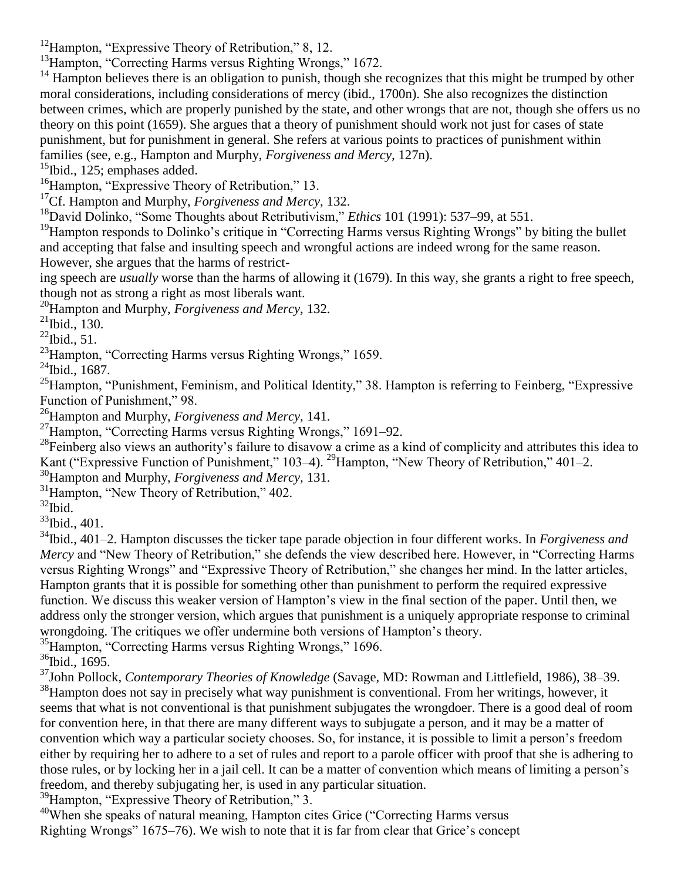$12$ Hampton, "Expressive Theory of Retribution," 8, 12.

<sup>13</sup>Hampton, "Correcting Harms versus Righting Wrongs," 1672.

 $14$  Hampton believes there is an obligation to punish, though she recognizes that this might be trumped by other moral considerations, including considerations of mercy (ibid., 1700n). She also recognizes the distinction between crimes, which are properly punished by the state, and other wrongs that are not, though she offers us no theory on this point (1659). She argues that a theory of punishment should work not just for cases of state punishment, but for punishment in general. She refers at various points to practices of punishment within families (see, e.g., Hampton and Murphy, *Forgiveness and Mercy,* 127n).

<sup>15</sup>Ibid., 125; emphases added.

 $16$ Hampton, "Expressive Theory of Retribution," 13.

<sup>17</sup>Cf. Hampton and Murphy, *Forgiveness and Mercy,* 132.

<sup>18</sup>David Dolinko, "Some Thoughts about Retributivism," *Ethics* 101 (1991): 537–99, at 551.

<sup>19</sup>Hampton responds to Dolinko's critique in "Correcting Harms versus Righting Wrongs" by biting the bullet and accepting that false and insulting speech and wrongful actions are indeed wrong for the same reason. However, she argues that the harms of restrict-

ing speech are *usually* worse than the harms of allowing it (1679). In this way, she grants a right to free speech, though not as strong a right as most liberals want.

<sup>20</sup>Hampton and Murphy, *Forgiveness and Mercy,* 132.

 $21$ Ibid., 130.

 $^{22}$ Ibid., 51.

 $^{23}$ Hampton, "Correcting Harms versus Righting Wrongs," 1659.

 $^{24}$ Ibid., 1687.

<sup>25</sup> Hampton, "Punishment, Feminism, and Political Identity," 38. Hampton is referring to Feinberg, "Expressive Function of Punishment," 98.

<sup>26</sup>Hampton and Murphy, *Forgiveness and Mercy,* 141.

 $^{27}$ Hampton, "Correcting Harms versus Righting Wrongs," 1691–92.

<sup>28</sup>Feinberg also views an authority's failure to disavow a crime as a kind of complicity and attributes this idea to Kant ("Expressive Function of Punishment," 103–4). <sup>29</sup>Hampton, "New Theory of Retribution," 401–2.

<sup>30</sup>Hampton and Murphy, *Forgiveness and Mercy,* 131.

 $31$ Hampton, "New Theory of Retribution," 402.

 $32$ Ibid.

<sup>33</sup>Ibid., 401.

<sup>34</sup>Ibid., 401–2. Hampton discusses the ticker tape parade objection in four different works. In *Forgiveness and Mercy* and "New Theory of Retribution," she defends the view described here. However, in "Correcting Harms" versus Righting Wrongs" and "Expressive Theory of Retribution," she changes her mind. In the latter articles, Hampton grants that it is possible for something other than punishment to perform the required expressive function. We discuss this weaker version of Hampton's view in the final section of the paper. Until then, we address only the stronger version, which argues that punishment is a uniquely appropriate response to criminal wrongdoing. The critiques we offer undermine both versions of Hampton's theory.

 $35$ Hampton, "Correcting Harms versus Righting Wrongs," 1696.

 $36$ Ibid., 1695.

<sup>37</sup>John Pollock, *Contemporary Theories of Knowledge* (Savage, MD: Rowman and Littlefield, 1986), 38–39.  $38$ Hampton does not say in precisely what way punishment is conventional. From her writings, however, it seems that what is not conventional is that punishment subjugates the wrongdoer. There is a good deal of room for convention here, in that there are many different ways to subjugate a person, and it may be a matter of convention which way a particular society chooses. So, for instance, it is possible to limit a person's freedom either by requiring her to adhere to a set of rules and report to a parole officer with proof that she is adhering to those rules, or by locking her in a jail cell. It can be a matter of convention which means of limiting a person's freedom, and thereby subjugating her, is used in any particular situation.

 $39$ Hampton, "Expressive Theory of Retribution," 3.

 $40$ When she speaks of natural meaning, Hampton cites Grice ("Correcting Harms versus Righting Wrongs" 1675–76). We wish to note that it is far from clear that Grice's concept